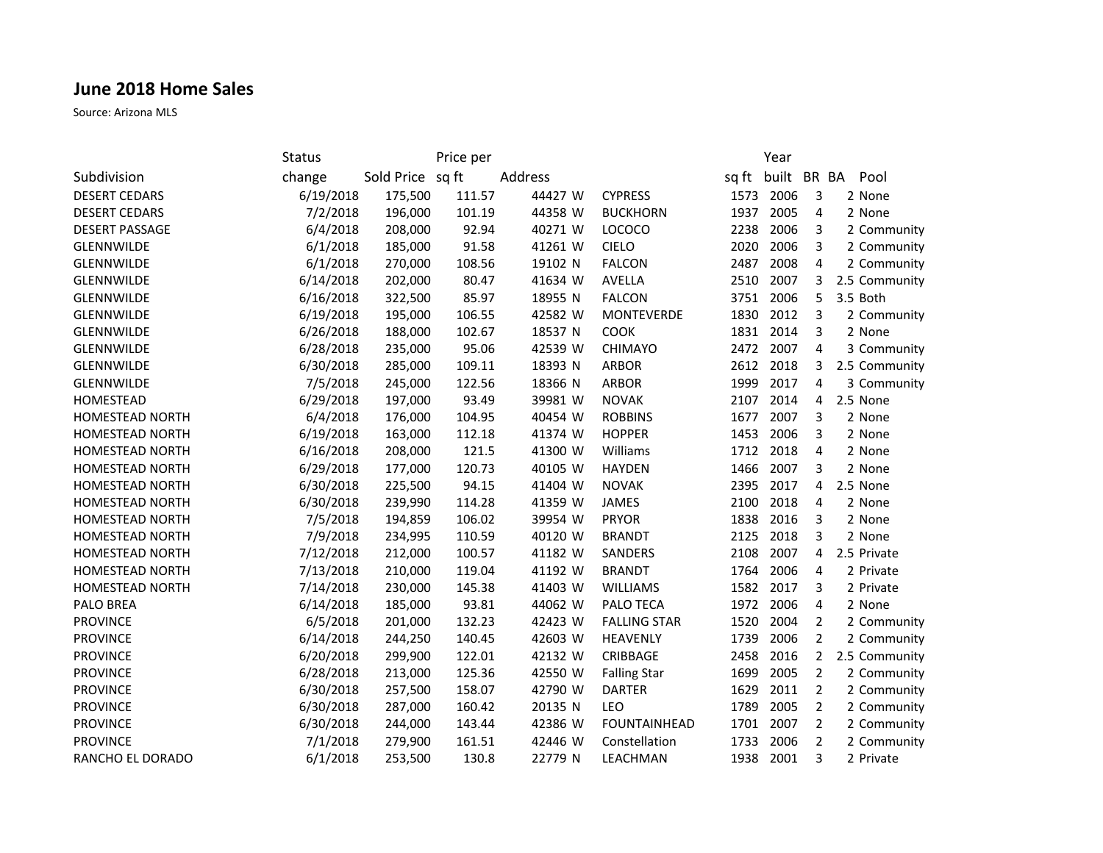## **June 2018 Home Sales**

Source: Arizona MLS

|                        | <b>Status</b> |                  | Price per |         |                     |       | Year        |                |               |
|------------------------|---------------|------------------|-----------|---------|---------------------|-------|-------------|----------------|---------------|
| Subdivision            | change        | Sold Price sq ft |           | Address |                     | sq ft | built BR BA |                | Pool          |
| <b>DESERT CEDARS</b>   | 6/19/2018     | 175,500          | 111.57    | 44427 W | <b>CYPRESS</b>      | 1573  | 2006        | 3              | 2 None        |
| <b>DESERT CEDARS</b>   | 7/2/2018      | 196,000          | 101.19    | 44358 W | <b>BUCKHORN</b>     | 1937  | 2005        | 4              | 2 None        |
| <b>DESERT PASSAGE</b>  | 6/4/2018      | 208,000          | 92.94     | 40271 W | LOCOCO              | 2238  | 2006        | 3              | 2 Community   |
| GLENNWILDE             | 6/1/2018      | 185,000          | 91.58     | 41261 W | <b>CIELO</b>        | 2020  | 2006        | 3              | 2 Community   |
| <b>GLENNWILDE</b>      | 6/1/2018      | 270,000          | 108.56    | 19102 N | <b>FALCON</b>       | 2487  | 2008        | $\overline{4}$ | 2 Community   |
| GLENNWILDE             | 6/14/2018     | 202,000          | 80.47     | 41634 W | AVELLA              | 2510  | 2007        | 3              | 2.5 Community |
| <b>GLENNWILDE</b>      | 6/16/2018     | 322,500          | 85.97     | 18955 N | <b>FALCON</b>       | 3751  | 2006        | 5              | 3.5 Both      |
| GLENNWILDE             | 6/19/2018     | 195,000          | 106.55    | 42582 W | MONTEVERDE          | 1830  | 2012        | 3              | 2 Community   |
| GLENNWILDE             | 6/26/2018     | 188,000          | 102.67    | 18537 N | COOK                | 1831  | 2014        | 3              | 2 None        |
| GLENNWILDE             | 6/28/2018     | 235,000          | 95.06     | 42539 W | CHIMAYO             | 2472  | 2007        | 4              | 3 Community   |
| GLENNWILDE             | 6/30/2018     | 285,000          | 109.11    | 18393 N | <b>ARBOR</b>        | 2612  | 2018        | 3              | 2.5 Community |
| GLENNWILDE             | 7/5/2018      | 245,000          | 122.56    | 18366 N | <b>ARBOR</b>        | 1999  | 2017        | 4              | 3 Community   |
| HOMESTEAD              | 6/29/2018     | 197,000          | 93.49     | 39981 W | <b>NOVAK</b>        | 2107  | 2014        | 4              | 2.5 None      |
| <b>HOMESTEAD NORTH</b> | 6/4/2018      | 176,000          | 104.95    | 40454 W | <b>ROBBINS</b>      | 1677  | 2007        | 3              | 2 None        |
| HOMESTEAD NORTH        | 6/19/2018     | 163,000          | 112.18    | 41374 W | <b>HOPPER</b>       | 1453  | 2006        | 3              | 2 None        |
| HOMESTEAD NORTH        | 6/16/2018     | 208,000          | 121.5     | 41300 W | Williams            | 1712  | 2018        | $\overline{4}$ | 2 None        |
| HOMESTEAD NORTH        | 6/29/2018     | 177,000          | 120.73    | 40105 W | <b>HAYDEN</b>       | 1466  | 2007        | 3              | 2 None        |
| HOMESTEAD NORTH        | 6/30/2018     | 225,500          | 94.15     | 41404 W | <b>NOVAK</b>        | 2395  | 2017        | 4              | 2.5 None      |
| <b>HOMESTEAD NORTH</b> | 6/30/2018     | 239,990          | 114.28    | 41359 W | <b>JAMES</b>        | 2100  | 2018        | 4              | 2 None        |
| HOMESTEAD NORTH        | 7/5/2018      | 194,859          | 106.02    | 39954 W | <b>PRYOR</b>        | 1838  | 2016        | 3              | 2 None        |
| HOMESTEAD NORTH        | 7/9/2018      | 234,995          | 110.59    | 40120 W | <b>BRANDT</b>       | 2125  | 2018        | 3              | 2 None        |
| HOMESTEAD NORTH        | 7/12/2018     | 212,000          | 100.57    | 41182 W | SANDERS             | 2108  | 2007        | 4              | 2.5 Private   |
| HOMESTEAD NORTH        | 7/13/2018     | 210,000          | 119.04    | 41192 W | <b>BRANDT</b>       | 1764  | 2006        | 4              | 2 Private     |
| HOMESTEAD NORTH        | 7/14/2018     | 230,000          | 145.38    | 41403 W | <b>WILLIAMS</b>     | 1582  | 2017        | 3              | 2 Private     |
| PALO BREA              | 6/14/2018     | 185,000          | 93.81     | 44062 W | PALO TECA           | 1972  | 2006        | 4              | 2 None        |
| <b>PROVINCE</b>        | 6/5/2018      | 201,000          | 132.23    | 42423 W | <b>FALLING STAR</b> | 1520  | 2004        | 2              | 2 Community   |
| <b>PROVINCE</b>        | 6/14/2018     | 244,250          | 140.45    | 42603 W | HEAVENLY            | 1739  | 2006        | $\overline{2}$ | 2 Community   |
| <b>PROVINCE</b>        | 6/20/2018     | 299,900          | 122.01    | 42132 W | CRIBBAGE            | 2458  | 2016        | $\overline{2}$ | 2.5 Community |
| <b>PROVINCE</b>        | 6/28/2018     | 213,000          | 125.36    | 42550 W | <b>Falling Star</b> | 1699  | 2005        | 2              | 2 Community   |
| <b>PROVINCE</b>        | 6/30/2018     | 257,500          | 158.07    | 42790 W | <b>DARTER</b>       | 1629  | 2011        | $\overline{2}$ | 2 Community   |
| <b>PROVINCE</b>        | 6/30/2018     | 287,000          | 160.42    | 20135 N | <b>LEO</b>          | 1789  | 2005        | $\overline{2}$ | 2 Community   |
| <b>PROVINCE</b>        | 6/30/2018     | 244,000          | 143.44    | 42386 W | <b>FOUNTAINHEAD</b> | 1701  | 2007        | $\overline{2}$ | 2 Community   |
| <b>PROVINCE</b>        | 7/1/2018      | 279,900          | 161.51    | 42446 W | Constellation       | 1733  | 2006        | $\overline{2}$ | 2 Community   |
| RANCHO EL DORADO       | 6/1/2018      | 253,500          | 130.8     | 22779 N | LEACHMAN            | 1938  | 2001        | 3              | 2 Private     |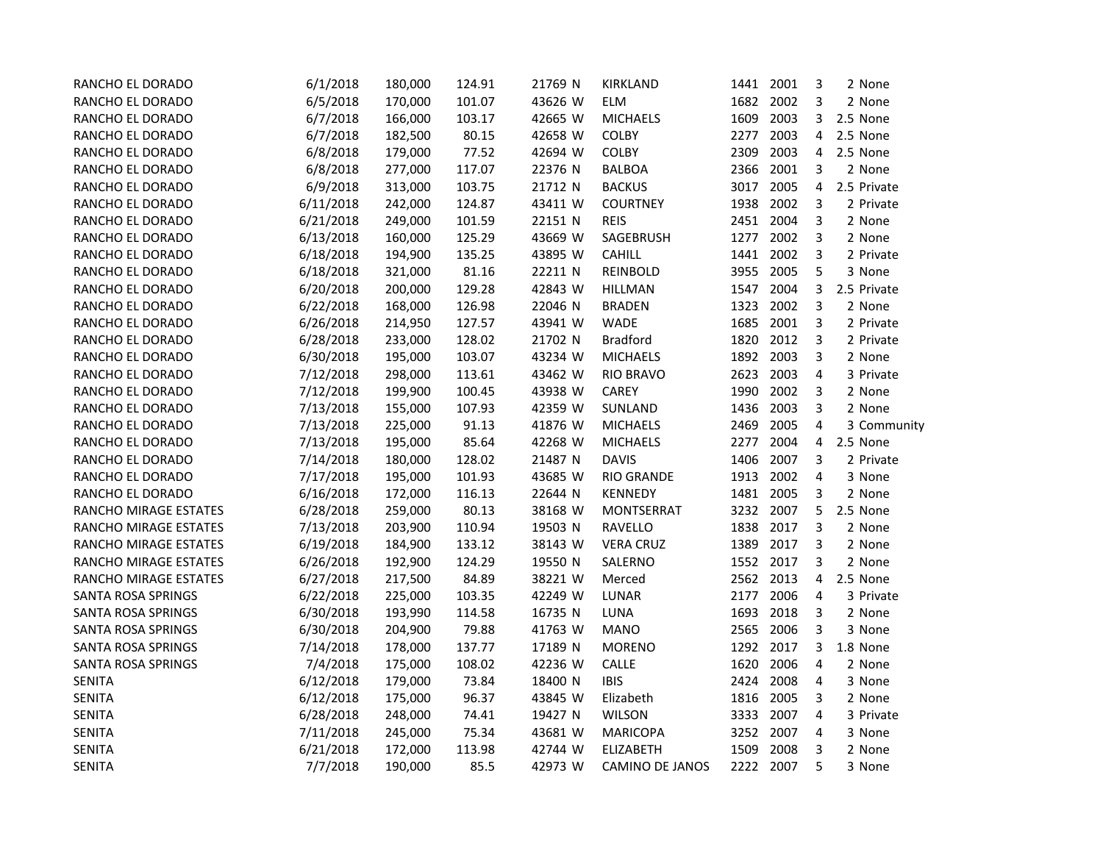| RANCHO EL DORADO          | 6/1/2018  | 180,000 | 124.91 | 21769 N | KIRKLAND               | 1441 2001 |      | 3                       | 2 None      |
|---------------------------|-----------|---------|--------|---------|------------------------|-----------|------|-------------------------|-------------|
| RANCHO EL DORADO          | 6/5/2018  | 170,000 | 101.07 | 43626 W | <b>ELM</b>             | 1682 2002 |      | 3                       | 2 None      |
| RANCHO EL DORADO          | 6/7/2018  | 166,000 | 103.17 | 42665 W | <b>MICHAELS</b>        | 1609      | 2003 | 3                       | 2.5 None    |
| RANCHO EL DORADO          | 6/7/2018  | 182,500 | 80.15  | 42658 W | <b>COLBY</b>           | 2277      | 2003 | 4                       | 2.5 None    |
| RANCHO EL DORADO          | 6/8/2018  | 179,000 | 77.52  | 42694 W | COLBY                  | 2309      | 2003 | 4                       | 2.5 None    |
| RANCHO EL DORADO          | 6/8/2018  | 277,000 | 117.07 | 22376 N | <b>BALBOA</b>          | 2366      | 2001 | 3                       | 2 None      |
| RANCHO EL DORADO          | 6/9/2018  | 313,000 | 103.75 | 21712 N | <b>BACKUS</b>          | 3017      | 2005 | 4                       | 2.5 Private |
| RANCHO EL DORADO          | 6/11/2018 | 242,000 | 124.87 | 43411 W | <b>COURTNEY</b>        | 1938      | 2002 | 3                       | 2 Private   |
| RANCHO EL DORADO          | 6/21/2018 | 249,000 | 101.59 | 22151 N | <b>REIS</b>            | 2451 2004 |      | 3                       | 2 None      |
| RANCHO EL DORADO          | 6/13/2018 | 160,000 | 125.29 | 43669 W | SAGEBRUSH              | 1277      | 2002 | 3                       | 2 None      |
| RANCHO EL DORADO          | 6/18/2018 | 194,900 | 135.25 | 43895 W | <b>CAHILL</b>          | 1441      | 2002 | 3                       | 2 Private   |
| RANCHO EL DORADO          | 6/18/2018 | 321,000 | 81.16  | 22211 N | <b>REINBOLD</b>        | 3955      | 2005 | 5                       | 3 None      |
| RANCHO EL DORADO          | 6/20/2018 | 200,000 | 129.28 | 42843 W | <b>HILLMAN</b>         | 1547      | 2004 | 3                       | 2.5 Private |
| RANCHO EL DORADO          | 6/22/2018 | 168,000 | 126.98 | 22046 N | <b>BRADEN</b>          | 1323      | 2002 | 3                       | 2 None      |
| RANCHO EL DORADO          | 6/26/2018 | 214,950 | 127.57 | 43941 W | WADE                   | 1685      | 2001 | 3                       | 2 Private   |
| RANCHO EL DORADO          | 6/28/2018 | 233,000 | 128.02 | 21702 N | <b>Bradford</b>        | 1820      | 2012 | 3                       | 2 Private   |
| RANCHO EL DORADO          | 6/30/2018 | 195,000 | 103.07 | 43234 W | <b>MICHAELS</b>        | 1892      | 2003 | 3                       | 2 None      |
| RANCHO EL DORADO          | 7/12/2018 | 298,000 | 113.61 | 43462 W | <b>RIO BRAVO</b>       | 2623      | 2003 | $\overline{\mathbf{4}}$ | 3 Private   |
| RANCHO EL DORADO          | 7/12/2018 | 199,900 | 100.45 | 43938 W | CAREY                  | 1990      | 2002 | 3                       | 2 None      |
| RANCHO EL DORADO          | 7/13/2018 | 155,000 | 107.93 | 42359 W | SUNLAND                | 1436      | 2003 | 3                       | 2 None      |
| RANCHO EL DORADO          | 7/13/2018 | 225,000 | 91.13  | 41876 W | <b>MICHAELS</b>        | 2469      | 2005 | 4                       | 3 Community |
| RANCHO EL DORADO          | 7/13/2018 | 195,000 | 85.64  | 42268 W | <b>MICHAELS</b>        | 2277      | 2004 | 4                       | 2.5 None    |
| RANCHO EL DORADO          | 7/14/2018 | 180,000 | 128.02 | 21487 N | <b>DAVIS</b>           | 1406      | 2007 | 3                       | 2 Private   |
| RANCHO EL DORADO          | 7/17/2018 | 195,000 | 101.93 | 43685 W | <b>RIO GRANDE</b>      | 1913      | 2002 | 4                       | 3 None      |
| RANCHO EL DORADO          | 6/16/2018 | 172,000 | 116.13 | 22644 N | <b>KENNEDY</b>         | 1481      | 2005 | 3                       | 2 None      |
| RANCHO MIRAGE ESTATES     | 6/28/2018 | 259,000 | 80.13  | 38168 W | MONTSERRAT             | 3232      | 2007 | 5                       | 2.5 None    |
| RANCHO MIRAGE ESTATES     | 7/13/2018 | 203,900 | 110.94 | 19503 N | <b>RAVELLO</b>         | 1838      | 2017 | 3                       | 2 None      |
| RANCHO MIRAGE ESTATES     | 6/19/2018 | 184,900 | 133.12 | 38143 W | <b>VERA CRUZ</b>       | 1389      | 2017 | 3                       | 2 None      |
| RANCHO MIRAGE ESTATES     | 6/26/2018 | 192,900 | 124.29 | 19550 N | SALERNO                | 1552 2017 |      | 3                       | 2 None      |
| RANCHO MIRAGE ESTATES     | 6/27/2018 | 217,500 | 84.89  | 38221 W | Merced                 | 2562      | 2013 | 4                       | 2.5 None    |
| SANTA ROSA SPRINGS        | 6/22/2018 | 225,000 | 103.35 | 42249 W | <b>LUNAR</b>           | 2177      | 2006 | 4                       | 3 Private   |
| SANTA ROSA SPRINGS        | 6/30/2018 | 193,990 | 114.58 | 16735 N | LUNA                   | 1693      | 2018 | 3                       | 2 None      |
| SANTA ROSA SPRINGS        | 6/30/2018 | 204,900 | 79.88  | 41763 W | <b>MANO</b>            | 2565      | 2006 | 3                       | 3 None      |
| SANTA ROSA SPRINGS        | 7/14/2018 | 178,000 | 137.77 | 17189 N | <b>MORENO</b>          | 1292      | 2017 | 3                       | 1.8 None    |
| <b>SANTA ROSA SPRINGS</b> | 7/4/2018  | 175,000 | 108.02 | 42236 W | CALLE                  | 1620      | 2006 | 4                       | 2 None      |
| SENITA                    | 6/12/2018 | 179,000 | 73.84  | 18400 N | <b>IBIS</b>            | 2424      | 2008 | 4                       | 3 None      |
| <b>SENITA</b>             | 6/12/2018 | 175,000 | 96.37  | 43845 W | Elizabeth              | 1816      | 2005 | 3                       | 2 None      |
| <b>SENITA</b>             | 6/28/2018 | 248,000 | 74.41  | 19427 N | <b>WILSON</b>          | 3333      | 2007 | 4                       | 3 Private   |
| <b>SENITA</b>             | 7/11/2018 | 245,000 | 75.34  | 43681 W | <b>MARICOPA</b>        | 3252      | 2007 | 4                       | 3 None      |
| <b>SENITA</b>             | 6/21/2018 | 172,000 | 113.98 | 42744 W | <b>ELIZABETH</b>       | 1509      | 2008 | 3                       | 2 None      |
| <b>SENITA</b>             | 7/7/2018  | 190,000 | 85.5   | 42973 W | <b>CAMINO DE JANOS</b> | 2222 2007 |      | 5                       | 3 None      |